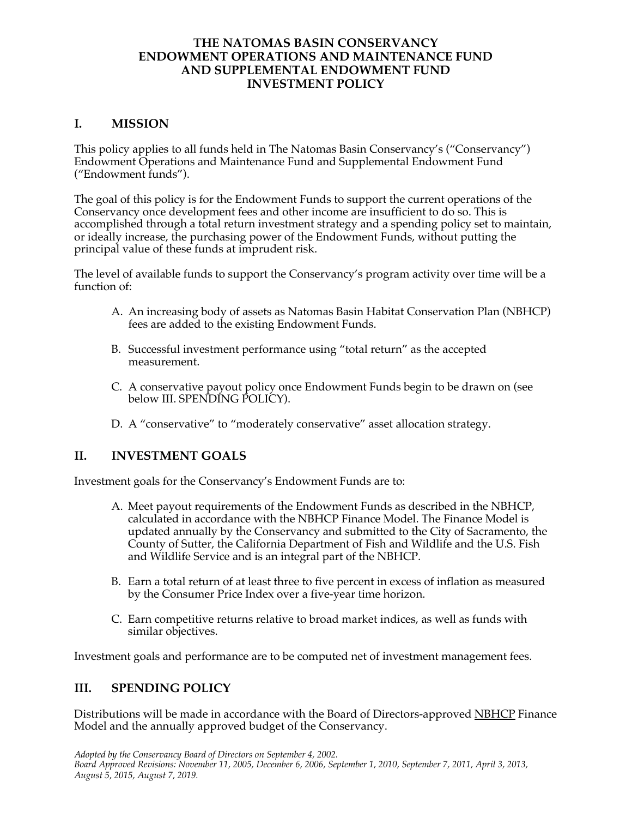### **THE NATOMAS BASIN CONSERVANCY ENDOWMENT OPERATIONS AND MAINTENANCE FUND AND SUPPLEMENTAL ENDOWMENT FUND INVESTMENT POLICY**

## **I. MISSION**

 This policy applies to all funds held in The Natomas Basin Conservancy's ("Conservancy") Endowment Operations and Maintenance Fund and Supplemental Endowment Fund ("Endowment funds").

 The goal of this policy is for the Endowment Funds to support the current operations of the Conservancy once development fees and other income are insufficient to do so. This is or ideally increase, the purchasing power of the Endowment Funds, without putting the principal value of these funds at imprudent risk. accomplished through a total return investment strategy and a spending policy set to maintain,

The level of available funds to support the Conservancy's program activity over time will be a function of:

- A. An increasing body of assets as Natomas Basin Habitat Conservation Plan (NBHCP) fees are added to the existing Endowment Funds.
- B. Successful investment performance using "total return" as the accepted measurement.
- C. A conservative payout policy once Endowment Funds begin to be drawn on (see below III. SPENDING POLICY).
- D. A "conservative" to "moderately conservative" asset allocation strategy.

## **II. INVESTMENT GOALS**

Investment goals for the Conservancy's Endowment Funds are to:

- A. Meet payout requirements of the Endowment Funds as described in the NBHCP, County of Sutter, the California Department of Fish and Wildlife and the U.S. Fish and Wildlife Service and is an integral part of the NBHCP. calculated in accordance with the NBHCP Finance Model. The Finance Model is updated annually by the Conservancy and submitted to the City of Sacramento, the
- B. Earn a total return of at least three to five percent in excess of inflation as measured by the Consumer Price Index over a five-year time horizon.
- C. Earn competitive returns relative to broad market indices, as well as funds with similar objectives.

Investment goals and performance are to be computed net of investment management fees.

## **III. SPENDING POLICY**

Distributions will be made in accordance with the Board of Directors-approved <u>NBHCP</u> Finance Model and the annually approved budget of the Conservancy.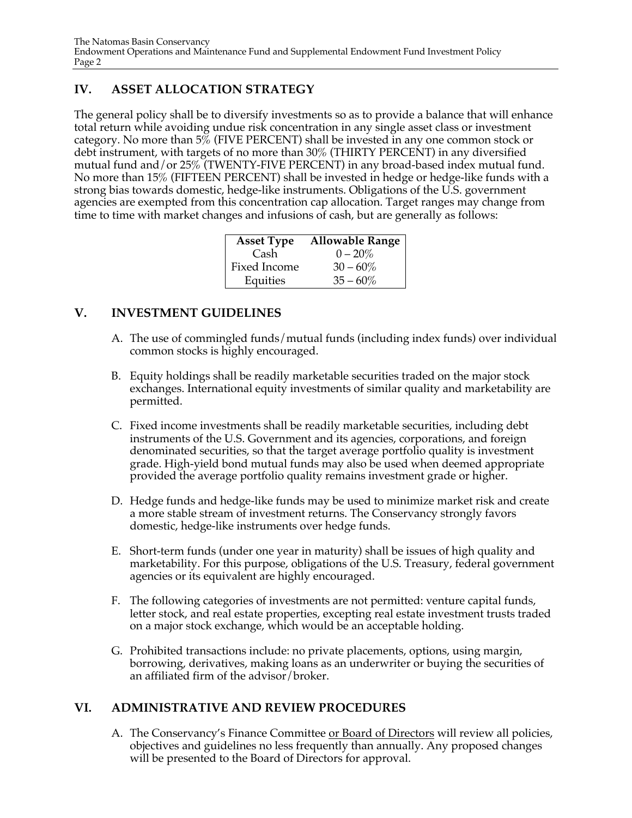# **IV. ASSET ALLOCATION STRATEGY**

 The general policy shall be to diversify investments so as to provide a balance that will enhance category. No more than 5% (FIVE PERCENT) shall be invested in any one common stock or debt instrument, with targets of no more than 30% (THIRTY PERCENT) in any diversified mutual fund and/or 25% (TWENTY-FIVE PERCENT) in any broad-based index mutual fund. No more than 15% (FIFTEEN PERCENT) shall be invested in hedge or hedge-like funds with a agencies are exempted from this concentration cap allocation. Target ranges may change from total return while avoiding undue risk concentration in any single asset class or investment strong bias towards domestic, hedge-like instruments. Obligations of the U.S. government time to time with market changes and infusions of cash, but are generally as follows:

| <b>Asset Type</b> | <b>Allowable Range</b> |
|-------------------|------------------------|
| Cash              | $0 - 20\%$             |
| Fixed Income      | $30 - 60\%$            |
| Equities          | $35 - 60\%$            |

# **V. INVESTMENT GUIDELINES**

- A. The use of commingled funds/mutual funds (including index funds) over individual common stocks is highly encouraged.
- B. Equity holdings shall be readily marketable securities traded on the major stock exchanges. International equity investments of similar quality and marketability are permitted.
- denominated securities, so that the target average portfolio quality is investment grade. High-yield bond mutual funds may also be used when deemed appropriate provided the average portfolio quality remains investment grade or higher. C. Fixed income investments shall be readily marketable securities, including debt instruments of the U.S. Government and its agencies, corporations, and foreign
- D. Hedge funds and hedge-like funds may be used to minimize market risk and create a more stable stream of investment returns. The Conservancy strongly favors domestic, hedge-like instruments over hedge funds.
- marketability. For this purpose, obligations of the U.S. Treasury, federal government E. Short-term funds (under one year in maturity) shall be issues of high quality and agencies or its equivalent are highly encouraged.
- F. The following categories of investments are not permitted: venture capital funds, letter stock, and real estate properties, excepting real estate investment trusts traded on a major stock exchange, which would be an acceptable holding.
- G. Prohibited transactions include: no private placements, options, using margin, an affiliated firm of the advisor/broker. borrowing, derivatives, making loans as an underwriter or buying the securities of

# **VI. ADMINISTRATIVE AND REVIEW PROCEDURES**

A. The Conservancy's Finance Committee <u>or Board of Directors</u> will review all policies, will be presented to the Board of Directors for approval. objectives and guidelines no less frequently than annually. Any proposed changes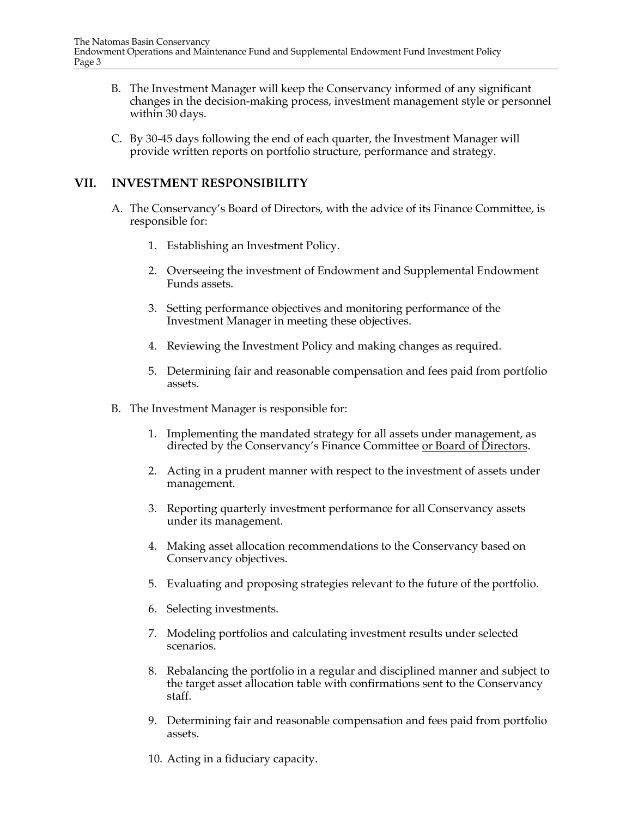- B. The Investment Manager will keep the Conservancy informed of any significant changes in the decision-making process, investment management style or personnel within 30 days.
- C. By 30-45 days following the end of each quarter, the Investment Manager will provide written reports on portfolio structure, performance and strategy.

### **VII. INVESTMENT RESPONSIBILITY**

- A. The Conservancy's Board of Directors, with the advice of its Finance Committee, is responsible for:
	- 1. Establishing an Investment Policy.
	- 2. Overseeing the investment of Endowment and Supplemental Endowment Funds assets.
	- 3. Setting performance objectives and monitoring performance of the Investment Manager in meeting these objectives.
	- 4. Reviewing the Investment Policy and making changes as required.
	- 5. Determining fair and reasonable compensation and fees paid from portfolio assets.
- B. The Investment Manager is responsible for:
	- 1. Implementing the mandated strategy for all assets under management, as directed by the Conservancy's Finance Committee <u>or Board of Directors</u>.
	- 2. Acting in a prudent manner with respect to the investment of assets under management.
	- 3. Reporting quarterly investment performance for all Conservancy assets under its management.
	- 4. Making asset allocation recommendations to the Conservancy based on Conservancy objectives.
	- 5. Evaluating and proposing strategies relevant to the future of the portfolio.
	- 6. Selecting investments.
	- 7. Modeling portfolios and calculating investment results under selected scenarios.
	- 8. Rebalancing the portfolio in a regular and disciplined manner and subject to the target asset allocation table with confirmations sent to the Conservancy staff.
	- 9. Determining fair and reasonable compensation and fees paid from portfolio assets.
	- 10. Acting in a fiduciary capacity.